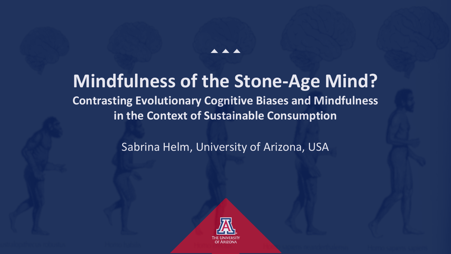# **Mindfulness of the Stone-Age Mind?**

 $\blacktriangle$   $\blacktriangle$   $\blacktriangle$ 

# **Contrasting Evolutionary Cognitive Biases and Mindfulness in the Context of Sustainable Consumption**

Sabrina Helm, University of Arizona, USA

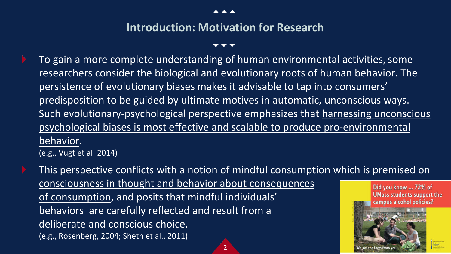### **Introduction: Motivation for Research**

To gain a more complete understanding of human environmental activities, some researchers consider the biological and evolutionary roots of human behavior. The persistence of evolutionary biases makes it advisable to tap into consumers' predisposition to be guided by ultimate motives in automatic, unconscious ways. Such evolutionary-psychological perspective emphasizes that harnessing unconscious psychological biases is most effective and scalable to produce pro-environmental <u>behavior</u>.<br>(e.g., Vugt et al. 2014)

This perspective conflicts with a notion of mindful consumption which is premised on consciousness in thought and behavior about consequences Did you know ... 72% of **UMass students support the** of consumption, and posits that mindful individuals' campus alcohol policies? behaviors are carefully reflected and result from a deliberate and conscious choice. (e.g., Rosenberg, 2004; Sheth et al., 2011)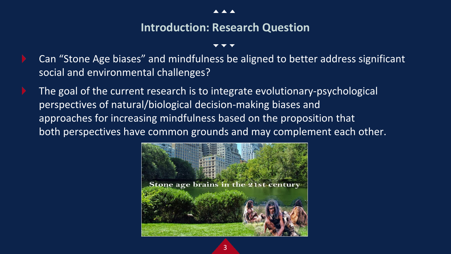### **Introduction: Research Question**

- Can "Stone Age biases" and mindfulness be aligned to better address significant social and environmental challenges?
- The goal of the current research is to integrate evolutionary-psychological perspectives of natural/biological decision-making biases and approaches for increasing mindfulness based on the proposition that both perspectives have common grounds and may complement each other.

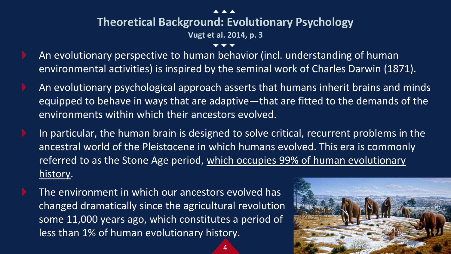### **Theoretical Background: Evolutionary Psychology**

**Vugt et al. 2014, p. 3**

- An evolutionary perspective to human behavior (incl. understanding of human environmental activities) is inspired by the seminal work of Charles Darwin (1871).
- An evolutionary psychological approach asserts that humans inherit brains and minds equipped to behave in ways that are adaptive—that are fitted to the demands of the environments within which their ancestors evolved.
- In particular, the human brain is designed to solve critical, recurrent problems in the ancestral world of the Pleistocene in which humans evolved. This era is commonly referred to as the Stone Age period, which occupies 99% of human evolutionary history.

4

The environment in which our ancestors evolved has changed dramatically since the agricultural revolution some 11,000 years ago, which constitutes a period of less than 1% of human evolutionary history.

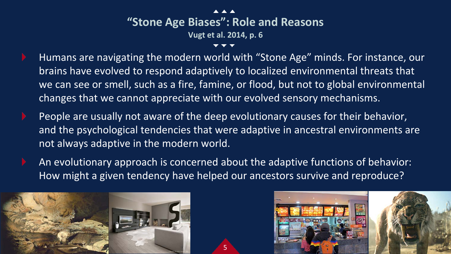- Humans are navigating the modern world with "Stone Age" minds. For instance, our brains have evolved to respond adaptively to localized environmental threats that we can see or smell, such as a fire, famine, or flood, but not to global environmental changes that we cannot appreciate with our evolved sensory mechanisms.
- People are usually not aware of the deep evolutionary causes for their behavior, and the psychological tendencies that were adaptive in ancestral environments are not always adaptive in the modern world.
- An evolutionary approach is concerned about the adaptive functions of behavior: How might a given tendency have helped our ancestors survive and reproduce?



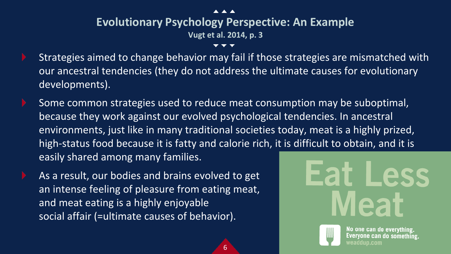# **Evolutionary Psychology Perspective: An Example**

**Vugt et al. 2014, p. 3**

- Strategies aimed to change behavior may fail if those strategies are mismatched with our ancestral tendencies (they do not address the ultimate causes for evolutionary developments).
- Some common strategies used to reduce meat consumption may be suboptimal, because they work against our evolved psychological tendencies. In ancestral environments, just like in many traditional societies today, meat is a highly prized, high-status food because it is fatty and calorie rich, it is difficult to obtain, and it is easily shared among many families.

6

As a result, our bodies and brains evolved to get an intense feeling of pleasure from eating meat, and meat eating is a highly enjoyable social affair (=ultimate causes of behavior).



No one can do everything. Everyone can do something. veaddup.com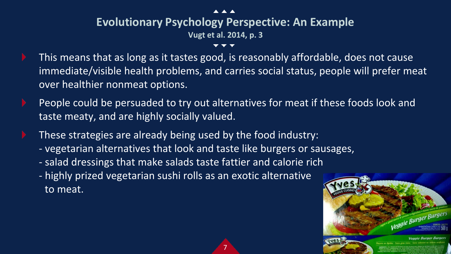# **Evolutionary Psychology Perspective: An Example**

**Vugt et al. 2014, p. 3**

- This means that as long as it tastes good, is reasonably affordable, does not cause immediate/visible health problems, and carries social status, people will prefer meat over healthier nonmeat options.
- People could be persuaded to try out alternatives for meat if these foods look and taste meaty, and are highly socially valued.

- These strategies are already being used by the food industry:
	- vegetarian alternatives that look and taste like burgers or sausages,
	- salad dressings that make salads taste fattier and calorie rich
	- highly prized vegetarian sushi rolls as an exotic alternative to meat.

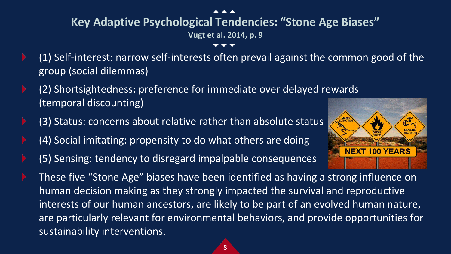# **Key Adaptive Psychological Tendencies: "Stone Age Biases"**

**Vugt et al. 2014, p. 9**

- (1) Self-interest: narrow self-interests often prevail against the common good of the group (social dilemmas)
- (2) Shortsightedness: preference for immediate over delayed rewards (temporal discounting)
- (3) Status: concerns about relative rather than absolute status
- (4) Social imitating: propensity to do what others are doing
- (5) Sensing: tendency to disregard impalpable consequences



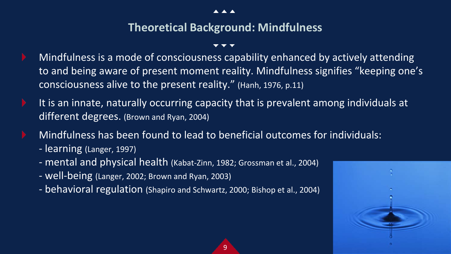### **Theoretical Background: Mindfulness**

- Mindfulness is a mode of consciousness capability enhanced by actively attending to and being aware of present moment reality. Mindfulness signifies "keeping one's consciousness alive to the present reality." (Hanh, 1976, p.11)
- It is an innate, naturally occurring capacity that is prevalent among individuals at different degrees. (Brown and Ryan, 2004)

- Mindfulness has been found to lead to beneficial outcomes for individuals:
	- learning (Langer, 1997)
	- mental and physical health (Kabat-Zinn, 1982; Grossman et al., 2004)
	- well-being (Langer, 2002; Brown and Ryan, 2003)
	- behavioral regulation (Shapiro and Schwartz, 2000; Bishop et al., 2004)

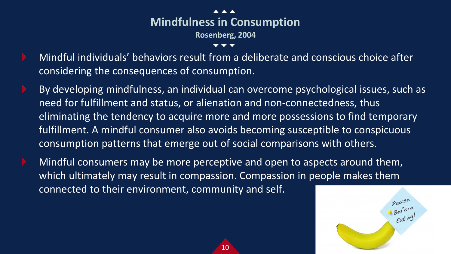

- Mindful individuals' behaviors result from a deliberate and conscious choice after considering the consequences of consumption.
- By developing mindfulness, an individual can overcome psychological issues, such as need for fulfillment and status, or alienation and non-connectedness, thus eliminating the tendency to acquire more and more possessions to find temporary fulfillment. A mindful consumer also avoids becoming susceptible to conspicuous consumption patterns that emerge out of social comparisons with others.
- Mindful consumers may be more perceptive and open to aspects around them, which ultimately may result in compassion. Compassion in people makes them connected to their environment, community and self.

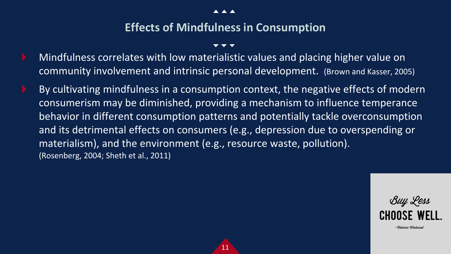**AAA** 

### **Effects of Mindfulness in Consumption**

- Mindfulness correlates with low materialistic values and placing higher value on community involvement and intrinsic personal development. (Brown and Kasser, 2005)
- By cultivating mindfulness in a consumption context, the negative effects of modern consumerism may be diminished, providing a mechanism to influence temperance behavior in different consumption patterns and potentially tackle overconsumption and its detrimental effects on consumers (e.g., depression due to overspending or materialism), and the environment (e.g., resource waste, pollution). (Rosenberg, 2004; Sheth et al., 2011)

11



-Wwjenne Westward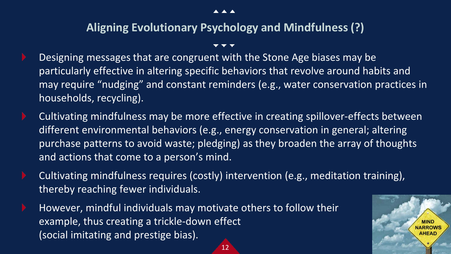$\blacktriangle$   $\blacktriangle$   $\blacktriangle$ 

### **Aligning Evolutionary Psychology and Mindfulness (?)**

- Designing messages that are congruent with the Stone Age biases may be particularly effective in altering specific behaviors that revolve around habits and may require "nudging" and constant reminders (e.g., water conservation practices in households, recycling).
- Cultivating mindfulness may be more effective in creating spillover-effects between different environmental behaviors (e.g., energy conservation in general; altering purchase patterns to avoid waste; pledging) as they broaden the array of thoughts and actions that come to a person's mind.
- Cultivating mindfulness requires (costly) intervention (e.g., meditation training), thereby reaching fewer individuals.

12

However, mindful individuals may motivate others to follow their example, thus creating a trickle-down effect (social imitating and prestige bias).

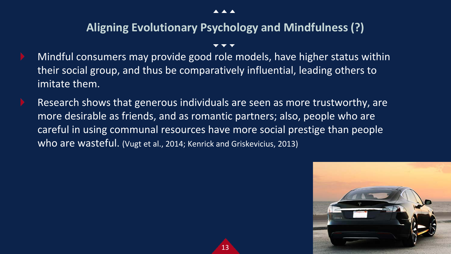### **Aligning Evolutionary Psychology and Mindfulness (?)**

- Mindful consumers may provide good role models, have higher status within their social group, and thus be comparatively influential, leading others to imitate them.
- Research shows that generous individuals are seen as more trustworthy, are more desirable as friends, and as romantic partners; also, people who are careful in using communal resources have more social prestige than people who are wasteful. (Vugt et al., 2014; Kenrick and Griskevicius, 2013)

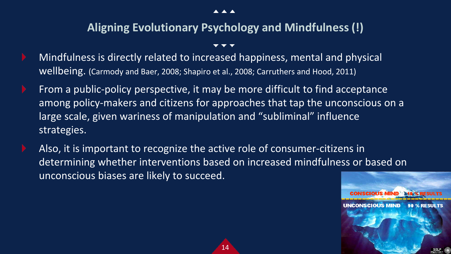$\blacktriangle$   $\blacktriangle$   $\blacktriangle$ 

### **Aligning Evolutionary Psychology and Mindfulness (!)**

- Mindfulness is directly related to increased happiness, mental and physical wellbeing. (Carmody and Baer, 2008; Shapiro et al., 2008; Carruthers and Hood, 2011)
- From a public-policy perspective, it may be more difficult to find acceptance among policy-makers and citizens for approaches that tap the unconscious on a large scale, given wariness of manipulation and "subliminal" influence strategies.
- Also, it is important to recognize the active role of consumer-citizens in determining whether interventions based on increased mindfulness or based on unconscious biases are likely to succeed.